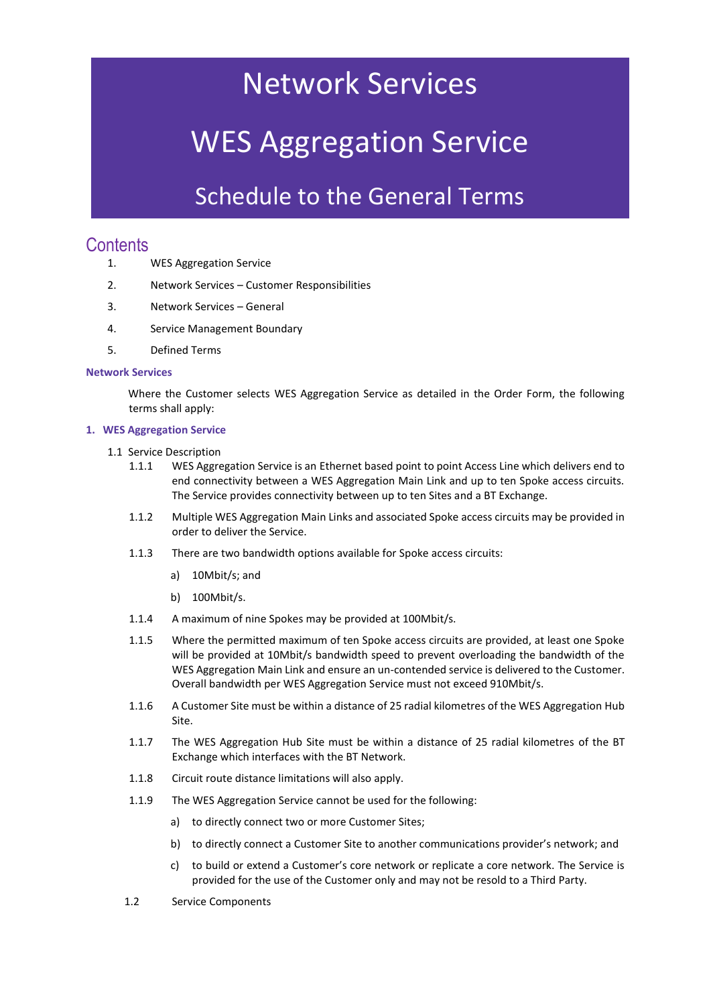## Network Services

# WES Aggregation Service

### Schedule to the General Terms

### **Contents**

- 1. WES Aggregation Service
- 2. Network Services Customer Responsibilities
- 3. Network Services General
- 4. Service Management Boundary
- 5. Defined Terms

#### **Network Services**

Where the Customer selects WES Aggregation Service as detailed in the Order Form, the following terms shall apply:

#### **1. WES Aggregation Service**

- 1.1 Service Description
	- 1.1.1 WES Aggregation Service is an Ethernet based point to point Access Line which delivers end to end connectivity between a WES Aggregation Main Link and up to ten Spoke access circuits. The Service provides connectivity between up to ten Sites and a BT Exchange.
	- 1.1.2 Multiple WES Aggregation Main Links and associated Spoke access circuits may be provided in order to deliver the Service.
	- 1.1.3 There are two bandwidth options available for Spoke access circuits:
		- a) 10Mbit/s; and
		- b) 100Mbit/s.
	- 1.1.4 A maximum of nine Spokes may be provided at 100Mbit/s.
	- 1.1.5 Where the permitted maximum of ten Spoke access circuits are provided, at least one Spoke will be provided at 10Mbit/s bandwidth speed to prevent overloading the bandwidth of the WES Aggregation Main Link and ensure an un-contended service is delivered to the Customer. Overall bandwidth per WES Aggregation Service must not exceed 910Mbit/s.
	- 1.1.6 A Customer Site must be within a distance of 25 radial kilometres of the WES Aggregation Hub Site.
	- 1.1.7 The WES Aggregation Hub Site must be within a distance of 25 radial kilometres of the BT Exchange which interfaces with the BT Network.
	- 1.1.8 Circuit route distance limitations will also apply.
	- 1.1.9 The WES Aggregation Service cannot be used for the following:
		- a) to directly connect two or more Customer Sites;
		- b) to directly connect a Customer Site to another communications provider's network; and
		- c) to build or extend a Customer's core network or replicate a core network. The Service is provided for the use of the Customer only and may not be resold to a Third Party.
	- 1.2 Service Components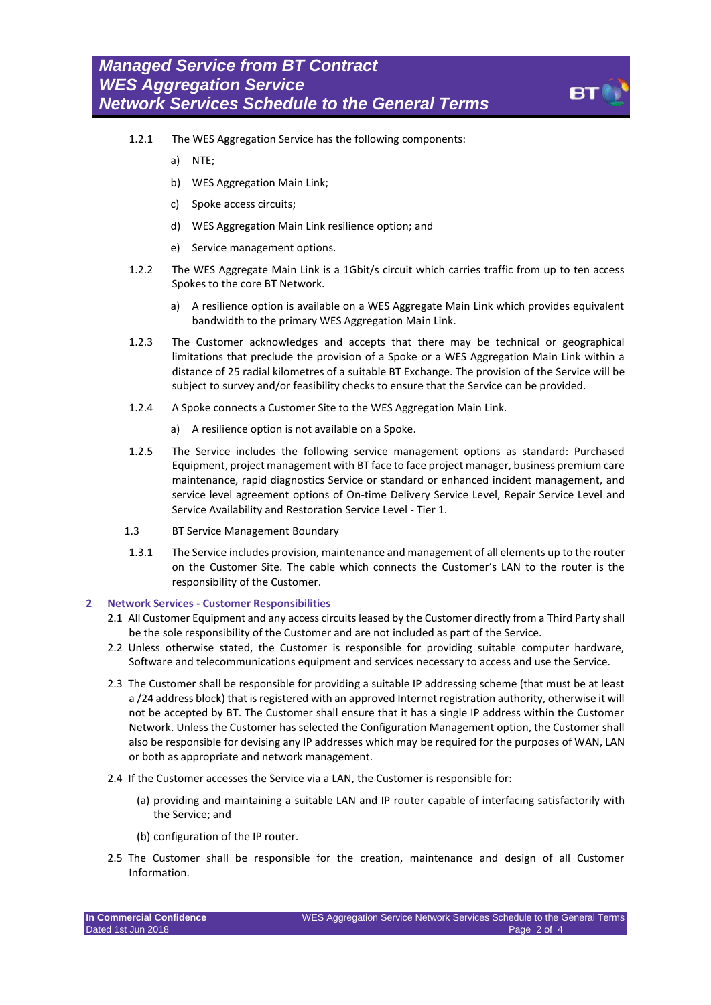- 1.2.1 The WES Aggregation Service has the following components:
	- a) NTE;
	- b) WES Aggregation Main Link;
	- c) Spoke access circuits;
	- d) WES Aggregation Main Link resilience option; and
	- e) Service management options.
- 1.2.2 The WES Aggregate Main Link is a 1Gbit/s circuit which carries traffic from up to ten access Spokes to the core BT Network.
	- a) A resilience option is available on a WES Aggregate Main Link which provides equivalent bandwidth to the primary WES Aggregation Main Link.
- 1.2.3 The Customer acknowledges and accepts that there may be technical or geographical limitations that preclude the provision of a Spoke or a WES Aggregation Main Link within a distance of 25 radial kilometres of a suitable BT Exchange. The provision of the Service will be subject to survey and/or feasibility checks to ensure that the Service can be provided.
- 1.2.4 A Spoke connects a Customer Site to the WES Aggregation Main Link.
	- a) A resilience option is not available on a Spoke.
- 1.2.5 The Service includes the following service management options as standard: Purchased Equipment, project management with BT face to face project manager, business premium care maintenance, rapid diagnostics Service or standard or enhanced incident management, and service level agreement options of On-time Delivery Service Level, Repair Service Level and Service Availability and Restoration Service Level - Tier 1.
- 1.3 BT Service Management Boundary
- 1.3.1 The Service includes provision, maintenance and management of all elements up to the router on the Customer Site. The cable which connects the Customer's LAN to the router is the responsibility of the Customer.

#### **2 Network Services - Customer Responsibilities**

- 2.1 All Customer Equipment and any access circuits leased by the Customer directly from a Third Party shall be the sole responsibility of the Customer and are not included as part of the Service.
- 2.2 Unless otherwise stated, the Customer is responsible for providing suitable computer hardware, Software and telecommunications equipment and services necessary to access and use the Service.
- 2.3 The Customer shall be responsible for providing a suitable IP addressing scheme (that must be at least a /24 address block) that is registered with an approved Internet registration authority, otherwise it will not be accepted by BT. The Customer shall ensure that it has a single IP address within the Customer Network. Unless the Customer has selected the Configuration Management option, the Customer shall also be responsible for devising any IP addresses which may be required for the purposes of WAN, LAN or both as appropriate and network management.
- 2.4 If the Customer accesses the Service via a LAN, the Customer is responsible for:
	- (a) providing and maintaining a suitable LAN and IP router capable of interfacing satisfactorily with the Service; and
	- (b) configuration of the IP router.
- 2.5 The Customer shall be responsible for the creation, maintenance and design of all Customer Information.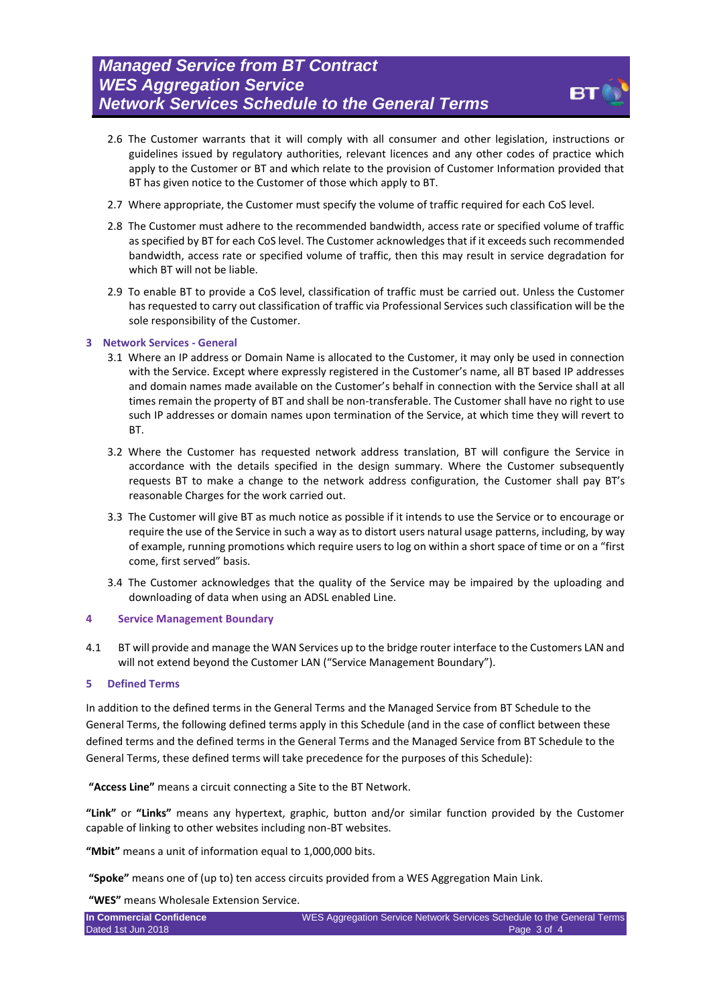

- 2.6 The Customer warrants that it will comply with all consumer and other legislation, instructions or guidelines issued by regulatory authorities, relevant licences and any other codes of practice which apply to the Customer or BT and which relate to the provision of Customer Information provided that BT has given notice to the Customer of those which apply to BT.
- 2.7 Where appropriate, the Customer must specify the volume of traffic required for each CoS level.
- 2.8 The Customer must adhere to the recommended bandwidth, access rate or specified volume of traffic as specified by BT for each CoS level. The Customer acknowledges that if it exceeds such recommended bandwidth, access rate or specified volume of traffic, then this may result in service degradation for which BT will not be liable.
- 2.9 To enable BT to provide a CoS level, classification of traffic must be carried out. Unless the Customer has requested to carry out classification of traffic via Professional Services such classification will be the sole responsibility of the Customer.

#### **3 Network Services - General**

- 3.1 Where an IP address or Domain Name is allocated to the Customer, it may only be used in connection with the Service. Except where expressly registered in the Customer's name, all BT based IP addresses and domain names made available on the Customer's behalf in connection with the Service shall at all times remain the property of BT and shall be non-transferable. The Customer shall have no right to use such IP addresses or domain names upon termination of the Service, at which time they will revert to BT.
- 3.2 Where the Customer has requested network address translation, BT will configure the Service in accordance with the details specified in the design summary. Where the Customer subsequently requests BT to make a change to the network address configuration, the Customer shall pay BT's reasonable Charges for the work carried out.
- 3.3 The Customer will give BT as much notice as possible if it intends to use the Service or to encourage or require the use of the Service in such a way as to distort users natural usage patterns, including, by way of example, running promotions which require users to log on within a short space of time or on a "first come, first served" basis.
- 3.4 The Customer acknowledges that the quality of the Service may be impaired by the uploading and downloading of data when using an ADSL enabled Line.

#### **4 Service Management Boundary**

4.1 BT will provide and manage the WAN Services up to the bridge router interface to the Customers LAN and will not extend beyond the Customer LAN ("Service Management Boundary").

#### **5 Defined Terms**

In addition to the defined terms in the General Terms and the Managed Service from BT Schedule to the General Terms, the following defined terms apply in this Schedule (and in the case of conflict between these defined terms and the defined terms in the General Terms and the Managed Service from BT Schedule to the General Terms, these defined terms will take precedence for the purposes of this Schedule):

**"Access Line"** means a circuit connecting a Site to the BT Network.

**"Link"** or **"Links"** means any hypertext, graphic, button and/or similar function provided by the Customer capable of linking to other websites including non-BT websites.

**"Mbit"** means a unit of information equal to 1,000,000 bits.

**"Spoke"** means one of (up to) ten access circuits provided from a WES Aggregation Main Link.

**"WES"** means Wholesale Extension Service.